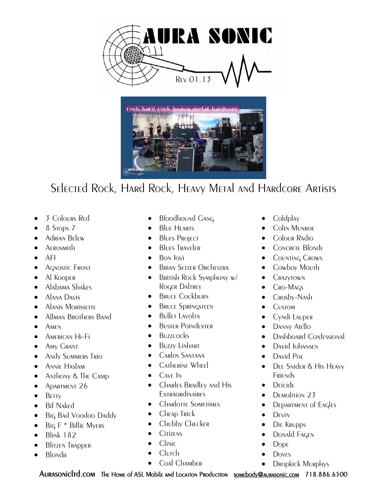



- 3 Colours R<sub>ED</sub>
- 8 Stops 7
- Adrian Belew
- **AEROSMITH**
- $\bullet$  AFI
- Agnostic Front
- Al Kooper
- Alabama Shakes
- Alana Davis
- Alanis Morissette
- Allman Brothers Band
- $\bullet$  Amen
- **•** American Hi-Fi
- Amy Grant
- **Andy Summers Trio**
- Annie Haslam
- Anthony & The Camp
- Apartment 26
- $\bullet$  Betty
- Bif Naked
- Big Bad Voodoo Daddy
- $\bullet$  Big F \* Billie Myers
- $\bullet$  Blink 182
- **Blitzen Trapper**
- **Blondie**
- Bloodhound Gang
- Blue Hearts
- **Blues Project**
- **Blues Traveler**
- Bon Jovi
- Brian Setzer Orchestra
- British Rock Symphony w/ Roger Daltrey
- **BRUCE Cockburn**
- **BRUCE Springsteen**
- $\bullet$  Bullet Lavolta
- **BUSTER POINDEXTER**
- Buzzcocks
- **BUZZY LINHART**
- Carlos Santana
- Catherine Wheel
- $\bullet$  Cave In
- CHARLES BRAdLEV AND HIS **EXTRAORDINAIRES**
- CHARLOTTE SOMETIMES
- **CHEAP TRICK**
- Chubby Checker
- $\bullet$  Citizens
- $\bullet$  Clinic
- Clurch
- Coal Chamber
- $\bullet$  Coldplay
- **•** Colin Munroe
- **Colour Radio**
- CONCRETE Blonde
- **•** Counting Crows
- Cowboy Mouth
- CRAZYTOWN
- CRO-MAGS
- Crosby-Nash
- Custom
- **•** Cyndi Lauper
- DANNY Aiello
- Dashboard Confessional
- David Johansen
- David Por
- DEE Snider & His HEAVY **Friends**
- Deicide
- DEMolition 23
- DEPARTMENT of Eagles
- $\bullet$  D<sub>FVIN</sub>
- **·** Die Krupps
- Donald Fagen
- Dope
- **Dov<sub>FS</sub>**
- Dropkick Murphys

AURASONICITO.COM THE HOME OF ASL Mobile and Location Production somebody@aurasonic.com 718.886.6500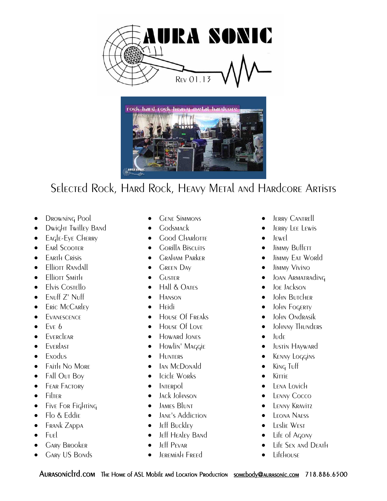



- DROWNING Pool
- Dwight Twilley Band
- **EAGLE-EYE CHERRY**
- **EARL SCOOTER**
- **•** Earth Crisis
- Elliott Randall
- $\bullet$  Flliott Smith
- **Elvis Costello**
- **ENUff Z' Nuff**
- **ERIC McCARLEY**
- Evanescence
- $\bullet$  Fv<sub>F</sub>  $\ddot{\circ}$
- **EVERCLEAR**
- **•** Everlast
- $\bullet$  Exodus
- Faith No More
- Fall Out Boy
- **•** FEAR FACTORY
- $\bullet$  Filter
- $\bullet$  Five For Fighting
- Flo & Eddie
- **•** Frank Zappa
- Fuel
- **GARY BROOKER**
- Gary US Bonds
- **GENE SIMMONS**
- **•** Godsmack
- Good Charlotte
- **•** Gorilla Biscuits
- **GRAHAM PARKER**
- **•** GREEN DAY
- **GUSTER**
- $\bullet$  Hall & Oates
- $\bullet$  Hanson
- **•** Hridi
- HOUSE Of FREAKS
- House Of Love
- Howard Jones
- **•** Howlin' Maggie
- **HUNTERS**
- Ian McDonald
- Icicle Works
- **INTERPOL**
- Jack Johnson
- **•** JAMES BLUNT
- JANE's Addiction
- **•** Jeff Buckley
- **•** Jeff Healey Band
- Jeff Pevar
- Jeremiah Freed
- **•** JERRY CANTRELL
- **•** JERRY LEE LEWIS
- $\bullet$   $I_{\text{FWF}}$
- Jimmy Buffett
- Jimmy EAT World
- **•** Jimmy Vivino
- JOAN ARMATRAdING
- Joe Jackson
- John Butcher
- **•** John Fogerty
- **•** John Ondrasik
- Johnny Thunders
- $\bullet$  Jude
- **•** Justin Hayward
- **KENNY LOGGINS**
- King Tuff
- $\bullet$  Kittie
- Lena Lovich
- LENNY COCCO
- **•** LENNY KRAVITZ
- **•** LEONA NAESS
- **•** Leslie West
- Life of Agony
- Life Sex and Death
- Lifehouse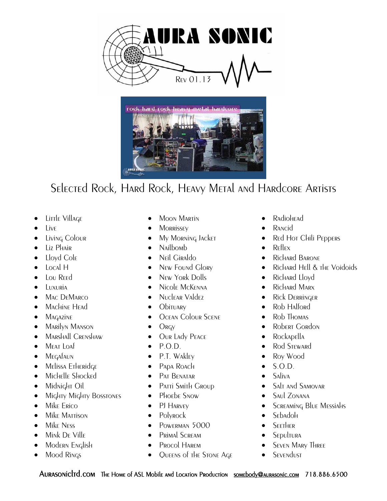



- $\bullet$  Little Village
- Live
- Living Colour
- Liz Phair
- Lloyd Cole
- Local H
- Lou Reed
- Luxuria
- MAC DEMARCO
- MacHine Head
- **•** Magazine
- Marilyn Manson
- MARSHALL CRENSHAW
- MEAT LOAF
- MEGAFAUN
- Melissa Etheridge
- Michelle Shocked
- **•** Midnight Oil
- Mighty Mighty Bosstones
- Mike Erico
- Mike Mattison
- Mike Ness
- Mink DE Ville
- Modern English
- Mood Rings
- **•** Moon Martin
- MORRISSEY
- My Morning Jacket
- Nailbomb
- **•** Neil Giraldo
- New Found Glory
- New York Dolls
- Nicole McKenna
- Nuclear Valdez
- Obituary
- **OCEAN Colour SCENE**
- $\bullet$  Orgy
- Our Lady PEACE
- $\bullet$  P.O.D.
- P.T. Wakley
- PADA ROACH
- **•** PAT BENATAR
- Patti Smith Group
- Phoebe Snow
- PJ HARVEY
- Polyrock
- POWERMAN 5000
- **•** Primal Scream
- Procol Harem
- Queens of the Stone Age
- RadioH<sub>FAd</sub>
- RANcid
- Red Hot Chili Peppers
- Reflex
- Richard Barone
- Richard Hell & the Voidoids
- Richard Lloyd
- Richard Marx
- Rick DERRINGER
- Rob Halford
- Rob Thomas
- Robert Gordon
- Rockapella
- Rod Steward
- Roy Wood
- $\bullet$  S.O.D.
- Saliva
- Salt and Samovar
- Saul ZONANA
- **•** SCREAMING Blue Messiahs
- Sebadoh
- **•** SEETHER
- SEpultura
- **SEVEN MARY THREE**
- **SEVENDUST**
- 
- 
- 
-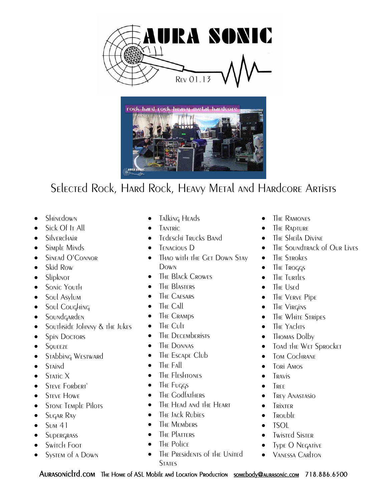



- Shinedown
- Sick Of It All
- **Silverchair**
- Simple Minds
- Sinead O'Connor
- Skid Row
- Slipknot
- Sonic Youth
- Soul Asylum
- Soul Coughing
- Soundgarden
- Southside Johnny & the Jukes
- Spin Doctors
- **•** SQUEEZE
- Stabbing WESTWARd
- Staind
- $\bullet$  Static X
- **STEVE FORDERT**
- **STEVE HOWE**
- STONE TEMPLE Pilots
- **SUGAR RAY**
- $\bullet$  Sum 41
- **SUPERGRASS**
- Switch Foot
- System of a Down
- **•** Talking Heads
- **TANTRIC**
- **•** Tedeschi Trucks Band
- TENACIOUS D
- Thao with the Get Down Stay Down
- The Black Crowes
- The Blasters
- THE CAESARS
- The Call
- The Cramps
- $\bullet$  The Cult
- The Decemberists
- The DONNAS
- The Escape Club
- THE FAIL
- The Fleshtones
- The Fuggs
- The Godfathers
- The Head and the Heart
- The Jack Rubies
- The Members
- The Platters
- The Police
- The Presidents of the United **STATES**
- **•** THE RAMONES
- **•** The Rapture
- The Sheila Divine
- The Soundtrack of Our Lives
- The Strokes
- The Troggs
- The Turtles
- The Used
- The VERVE PIDE
- The Virgins
- The White Stripes
- The Yachts
- Thomas Dolby
- Toad the Wet Sprocket
- Tom Cochrane
- $\bullet$  Tori Amos
- Travis
- **TREE**
- Trey Anastasio
- **•** Trixter
- Trouble
- TSOL
- **•** Twisted Sister
- Type O Negative
- Vanessa Carlton